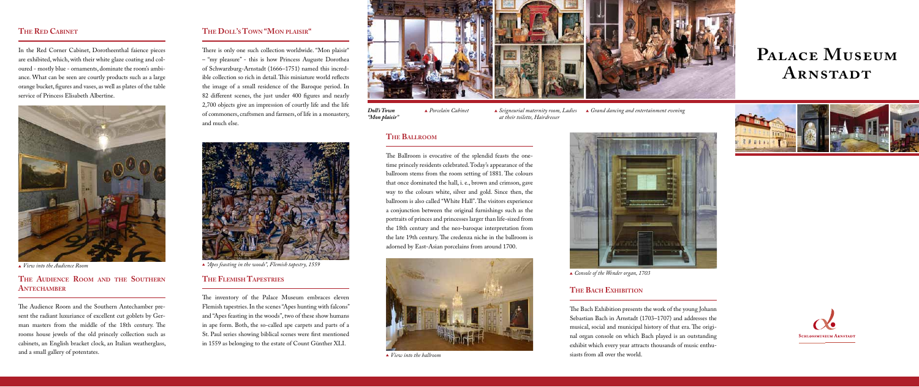*Doll's Town "Mon plaisir"*

# **Palace Museum ARNSTADT**





*"Apes feasting in the woods", Flemish tapestry, 1559*

# **The Audience Room and the Southern ANTECHAMBER**

# **THE RED CABINET**

In the Red Corner Cabinet, Dorotheenthal faience pieces are exhibited, which, with their white glaze coating and coloured - mostly blue - ornaments, dominate the room's ambiance. What can be seen are courtly products such as a large orange bucket, figures and vases, as well as plates of the table service of Princess Elisabeth Albertine.

The Audience Room and the Southern Antechamber present the radiant luxuriance of excellent cut goblets by German masters from the middle of the 18th century. The rooms house jewels of the old princely collection such as cabinets, an English bracket clock, an Italian weatherglass, and a small gallery of potentates.

There is only one such collection worldwide. "Mon plaisir" – "my pleasure" - this is how Princess Auguste Dorothea of Schwarzburg-Arnstadt (1666–1751) named this incredible collection so rich in detail. This miniature world reflects the image of a small residence of the Baroque period. In 82 different scenes, the just under 400 figures and nearly 2,700 objects give an impression of courtly life and the life of commoners, craftsmen and farmers, of life in a monastery, and much else.



*View into the Audience Room* 

*Porcelain Cabinet Seigneurial maternity room, Ladies Grand dancing and entertainment evening at their toilette, Hairdresser* 

# **The Doll's Town "Mon plaisir"**

The Bach Exhibition presents the work of the young Johann Sebastian Bach in Arnstadt (1703–1707) and addresses the musical, social and municipal history of that era. The original organ console on which Bach played is an outstanding exhibit which every year attracts thousands of music enthu-▲ *View into the ballroom* **similar over the world.** Niew into the world.



# **The Flemish Tapestries**

The inventory of the Palace Museum embraces eleven Flemish tapestries. In the scenes "Apes hunting with falcons" and "Apes feasting in the woods", two of these show humans in ape form. Both, the so-called ape carpets and parts of a St. Paul series showing biblical scenes were first mentioned in 1559 as belonging to the estate of Count Günther XLI.



# **The Ballroom**

The Ballroom is evocative of the splendid feasts the onetime princely residents celebrated. Today's appearance of the ballroom stems from the room setting of 1881. The colours that once dominated the hall, i. e., brown and crimson, gave way to the colours white, silver and gold. Since then, the ballroom is also called "White Hall". The visitors experience a conjunction between the original furnishings such as the portraits of princes and princesses larger than life-sized from the 18th century and the neo-baroque interpretation from the late 19th century. The credenza niche in the ballroom is adorned by East-Asian porcelains from around 1700.





# **The Bach Exhibition**



*Console of the Wender organ, 1703*